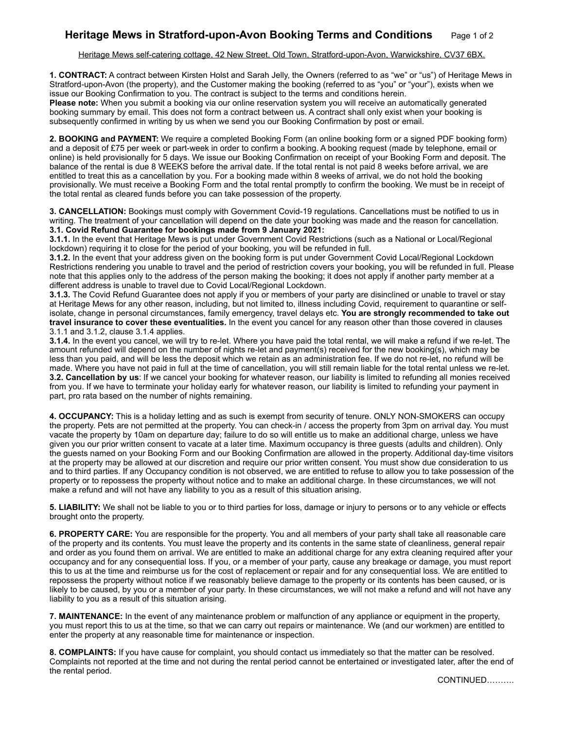## **Heritage Mews in Stratford-upon-Avon Booking Terms and Conditions** Page 1 of 2

Heritage Mews self-catering cottage, 42 New Street, Old Town, Stratford-upon-Avon, Warwickshire, CV37 6BX.

**1. CONTRACT:** A contract between Kirsten Holst and Sarah Jelly, the Owners (referred to as "we" or "us") of Heritage Mews in Stratford-upon-Avon (the property), and the Customer making the booking (referred to as "you" or "your"), exists when we issue our Booking Confirmation to you. The contract is subject to the terms and conditions herein.

**Please note:** When you submit a booking via our online reservation system you will receive an automatically generated booking summary by email. This does not form a contract between us. A contract shall only exist when your booking is subsequently confirmed in writing by us when we send you our Booking Confirmation by post or email.

**2. BOOKING and PAYMENT:** We require a completed Booking Form (an online booking form or a signed PDF booking form) and a deposit of £75 per week or part-week in order to confirm a booking. A booking request (made by telephone, email or online) is held provisionally for 5 days. We issue our Booking Confirmation on receipt of your Booking Form and deposit. The balance of the rental is due 8 WEEKS before the arrival date. If the total rental is not paid 8 weeks before arrival, we are entitled to treat this as a cancellation by you. For a booking made within 8 weeks of arrival, we do not hold the booking provisionally. We must receive a Booking Form and the total rental promptly to confirm the booking. We must be in receipt of the total rental as cleared funds before you can take possession of the property.

**3. CANCELLATION:** Bookings must comply with Government Covid-19 regulations. Cancellations must be notified to us in writing. The treatment of your cancellation will depend on the date your booking was made and the reason for cancellation. **3.1. Covid Refund Guarantee for bookings made from 9 January 2021:** 

**3.1.1.** In the event that Heritage Mews is put under Government Covid Restrictions (such as a National or Local/Regional lockdown) requiring it to close for the period of your booking, you will be refunded in full.

**3.1.2.** In the event that your address given on the booking form is put under Government Covid Local/Regional Lockdown Restrictions rendering you unable to travel and the period of restriction covers your booking, you will be refunded in full. Please note that this applies only to the address of the person making the booking; it does not apply if another party member at a different address is unable to travel due to Covid Local/Regional Lockdown.

**3.1.3.** The Covid Refund Guarantee does not apply if you or members of your party are disinclined or unable to travel or stay at Heritage Mews for any other reason, including, but not limited to, illness including Covid, requirement to quarantine or selfisolate, change in personal circumstances, family emergency, travel delays etc. **You are strongly recommended to take out travel insurance to cover these eventualities.** In the event you cancel for any reason other than those covered in clauses 3.1.1 and 3.1.2, clause 3.1.4 applies.

**3.1.4.** In the event you cancel, we will try to re-let. Where you have paid the total rental, we will make a refund if we re-let. The amount refunded will depend on the number of nights re-let and payment(s) received for the new booking(s), which may be less than you paid, and will be less the deposit which we retain as an administration fee. If we do not re-let, no refund will be made. Where you have not paid in full at the time of cancellation, you will still remain liable for the total rental unless we re-let. **3.2. Cancellation by us**: If we cancel your booking for whatever reason, our liability is limited to refunding all monies received from you. If we have to terminate your holiday early for whatever reason, our liability is limited to refunding your payment in part, pro rata based on the number of nights remaining.

**4. OCCUPANCY:** This is a holiday letting and as such is exempt from security of tenure. ONLY NON-SMOKERS can occupy the property. Pets are not permitted at the property. You can check-in / access the property from 3pm on arrival day. You must vacate the property by 10am on departure day; failure to do so will entitle us to make an additional charge, unless we have given you our prior written consent to vacate at a later time. Maximum occupancy is three guests (adults and children). Only the guests named on your Booking Form and our Booking Confirmation are allowed in the property. Additional day-time visitors at the property may be allowed at our discretion and require our prior written consent. You must show due consideration to us and to third parties. If any Occupancy condition is not observed, we are entitled to refuse to allow you to take possession of the property or to repossess the property without notice and to make an additional charge. In these circumstances, we will not make a refund and will not have any liability to you as a result of this situation arising.

**5. LIABILITY:** We shall not be liable to you or to third parties for loss, damage or injury to persons or to any vehicle or effects brought onto the property.

**6. PROPERTY CARE:** You are responsible for the property. You and all members of your party shall take all reasonable care of the property and its contents. You must leave the property and its contents in the same state of cleanliness, general repair and order as you found them on arrival. We are entitled to make an additional charge for any extra cleaning required after your occupancy and for any consequential loss. If you, or a member of your party, cause any breakage or damage, you must report this to us at the time and reimburse us for the cost of replacement or repair and for any consequential loss. We are entitled to repossess the property without notice if we reasonably believe damage to the property or its contents has been caused, or is likely to be caused, by you or a member of your party. In these circumstances, we will not make a refund and will not have any liability to you as a result of this situation arising.

**7. MAINTENANCE:** In the event of any maintenance problem or malfunction of any appliance or equipment in the property, you must report this to us at the time, so that we can carry out repairs or maintenance. We (and our workmen) are entitled to enter the property at any reasonable time for maintenance or inspection.

**8. COMPLAINTS:** If you have cause for complaint, you should contact us immediately so that the matter can be resolved. Complaints not reported at the time and not during the rental period cannot be entertained or investigated later, after the end of the rental period.